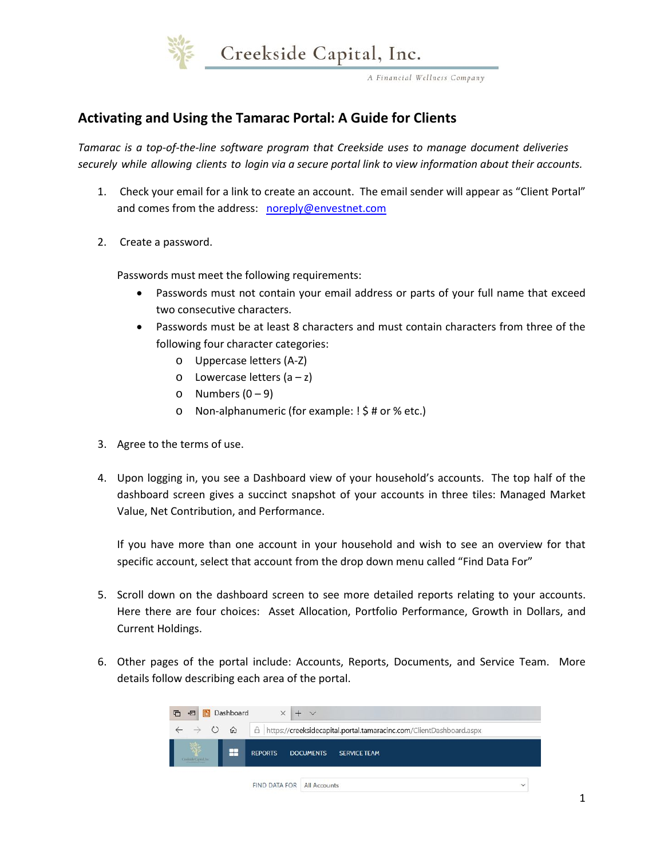

A Financial Wellness Company

# **Activating and Using the Tamarac Portal: A Guide for Clients**

*Tamarac is a top-of-the-line software program that Creekside uses to manage document deliveries securely while allowing clients to login via a secure portal link to view information about their accounts.* 

- 1. Check your email for a link to create an account. The email sender will appear as "Client Portal" and comes from the address: noreply@envestnet.com
- 2. Create a password.

Passwords must meet the following requirements:

- Passwords must not contain your email address or parts of your full name that exceed two consecutive characters.
- Passwords must be at least 8 characters and must contain characters from three of the following four character categories:
	- o Uppercase letters (A-Z)
	- $\circ$  Lowercase letters  $(a z)$
	- o Numbers  $(0 9)$
	- o Non-alphanumeric (for example: ! \$ # or % etc.)
- 3. Agree to the terms of use.
- 4. Upon logging in, you see a Dashboard view of your household's accounts. The top half of the dashboard screen gives a succinct snapshot of your accounts in three tiles: Managed Market Value, Net Contribution, and Performance.

If you have more than one account in your household and wish to see an overview for that specific account, select that account from the drop down menu called "Find Data For"

- 5. Scroll down on the dashboard screen to see more detailed reports relating to your accounts. Here there are four choices: Asset Allocation, Portfolio Performance, Growth in Dollars, and Current Holdings.
- 6. Other pages of the portal include: Accounts, Reports, Documents, and Service Team. More details follow describing each area of the portal.

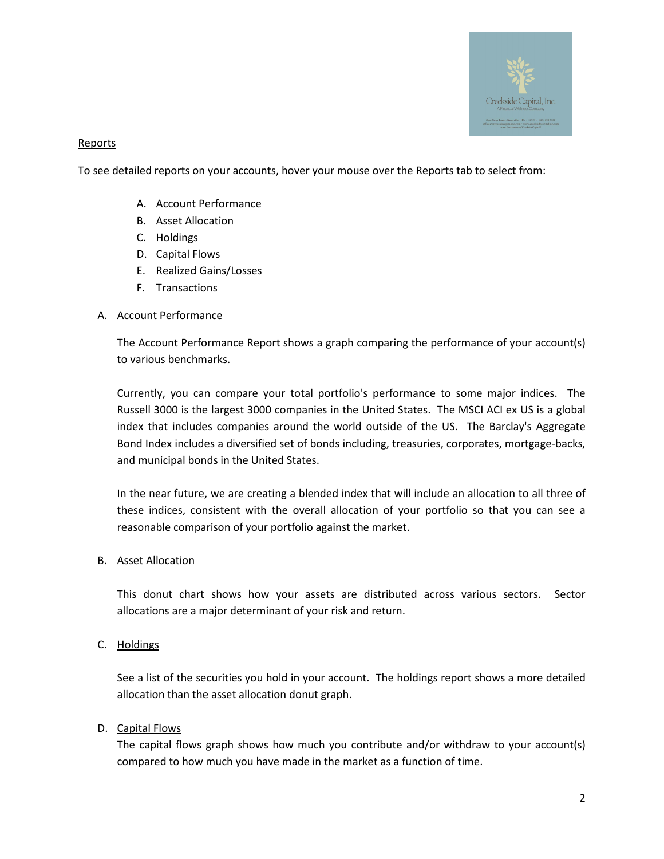

## **Reports**

To see detailed reports on your accounts, hover your mouse over the Reports tab to select from:

- A. Account Performance
- B. Asset Allocation
- C. Holdings
- D. Capital Flows
- E. Realized Gains/Losses
- F. Transactions

## A. Account Performance

The Account Performance Report shows a graph comparing the performance of your account(s) to various benchmarks.

Currently, you can compare your total portfolio's performance to some major indices. The Russell 3000 is the largest 3000 companies in the United States. The MSCI ACI ex US is a global index that includes companies around the world outside of the US. The Barclay's Aggregate Bond Index includes a diversified set of bonds including, treasuries, corporates, mortgage-backs, and municipal bonds in the United States.

In the near future, we are creating a blended index that will include an allocation to all three of these indices, consistent with the overall allocation of your portfolio so that you can see a reasonable comparison of your portfolio against the market.

## B. Asset Allocation

This donut chart shows how your assets are distributed across various sectors. Sector allocations are a major determinant of your risk and return.

C. Holdings

See a list of the securities you hold in your account. The holdings report shows a more detailed allocation than the asset allocation donut graph.

# D. Capital Flows

The capital flows graph shows how much you contribute and/or withdraw to your account(s) compared to how much you have made in the market as a function of time.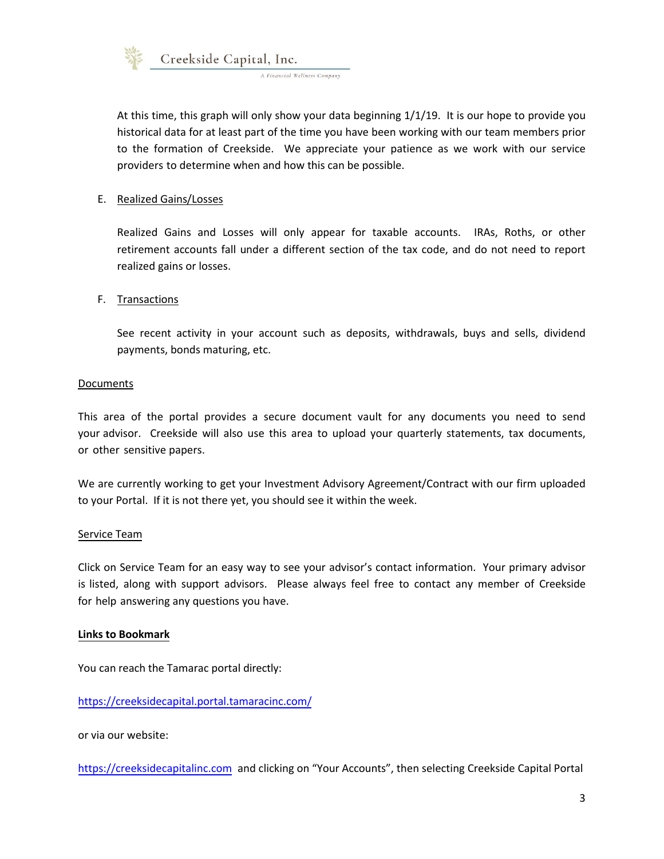

At this time, this graph will only show your data beginning 1/1/19. It is our hope to provide you historical data for at least part of the time you have been working with our team members prior to the formation of Creekside. We appreciate your patience as we work with our service providers to determine when and how this can be possible.

## E. Realized Gains/Losses

Realized Gains and Losses will only appear for taxable accounts. IRAs, Roths, or other retirement accounts fall under a different section of the tax code, and do not need to report realized gains or losses.

#### F. Transactions

See recent activity in your account such as deposits, withdrawals, buys and sells, dividend payments, bonds maturing, etc.

#### Documents

This area of the portal provides a secure document vault for any documents you need to send your advisor. Creekside will also use this area to upload your quarterly statements, tax documents, or other sensitive papers.

We are currently working to get your Investment Advisory Agreement/Contract with our firm uploaded to your Portal. If it is not there yet, you should see it within the week.

#### Service Team

Click on Service Team for an easy way to see your advisor's contact information. Your primary advisor is listed, along with support advisors. Please always feel free to contact any member of Creekside for help answering any questions you have.

#### **Links to Bookmark**

You can reach the Tamarac portal directly:

https://creeksidecapital.portal.tamaracinc.com/

or via our website:

https://creeksidecapitalinc.com and clicking on "Your Accounts", then selecting Creekside Capital Portal